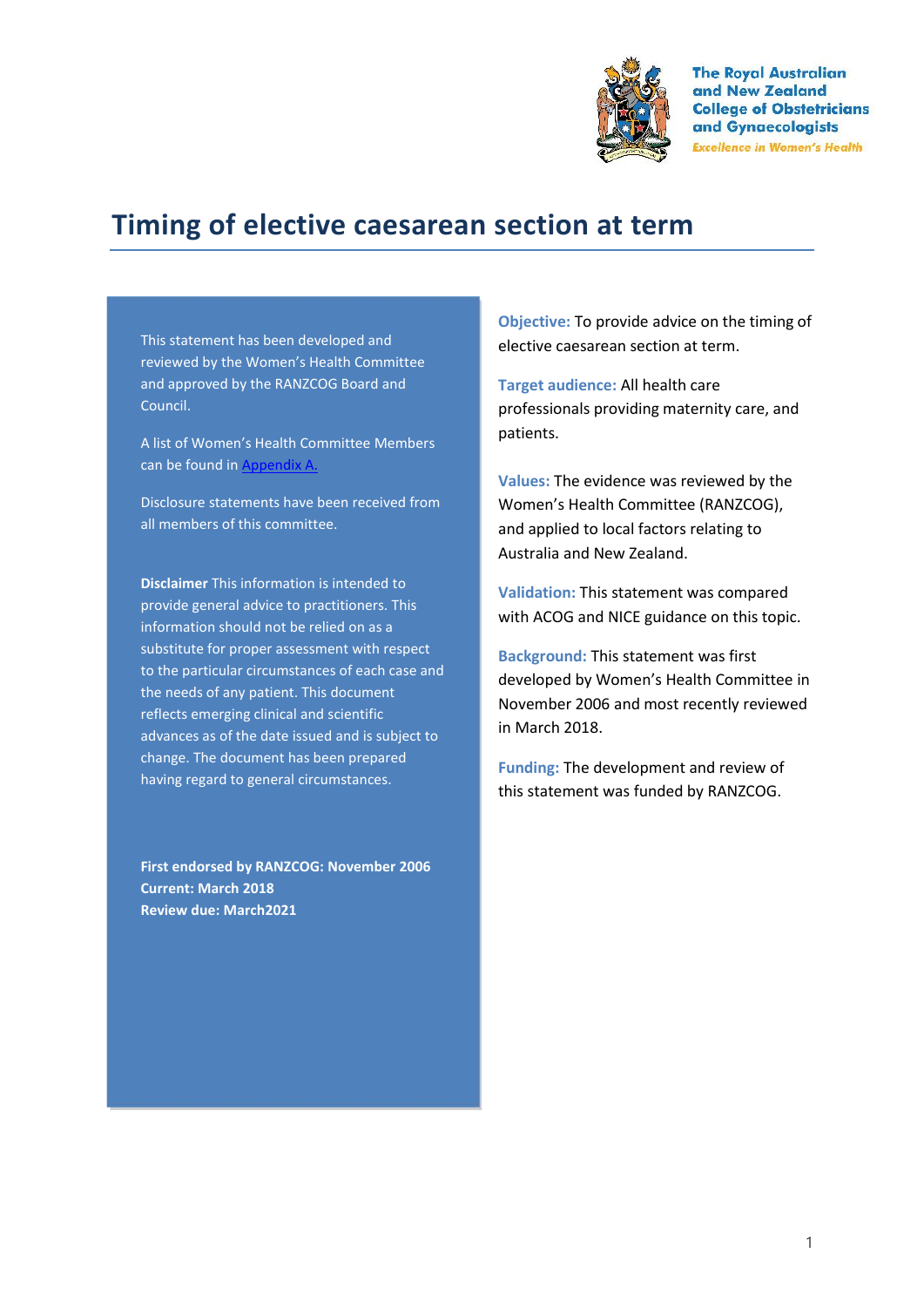

**The Royal Australian** and New Zealand **College of Obstetricians** and Gynaecologists **Excellence in Women's Health** 

# **Timing of elective caesarean section at term**

This statement has been developed and reviewed by the Women's Health Committee and approved by the RANZCOG Board and Council.

A list of Women's Health Committee Members can be found in Appendix A.

Disclosure statements have been received from all members of this committee.

**Disclaimer** This information is intended to provide general advice to practitioners. This information should not be relied on as a substitute for proper assessment with respect to the particular circumstances of each case and the needs of any patient. This document reflects emerging clinical and scientific advances as of the date issued and is subject to change. The document has been prepared having regard to general circumstances.

**First endorsed by RANZCOG: November 2006 Current: March 2018 Review due: March2021**

**Objective:** To provide advice on the timing of elective caesarean section at term.

**Target audience:** All health care professionals providing maternity care, and patients.

**Values:** The evidence was reviewed by the Women's Health Committee (RANZCOG), and applied to local factors relating to Australia and New Zealand.

**Validation:** This statement was compared with ACOG and NICE guidance on this topic.

**Background:** This statement was first developed by Women's Health Committee in November 2006 and most recently reviewed in March 2018.

**Funding:** The development and review of this statement was funded by RANZCOG.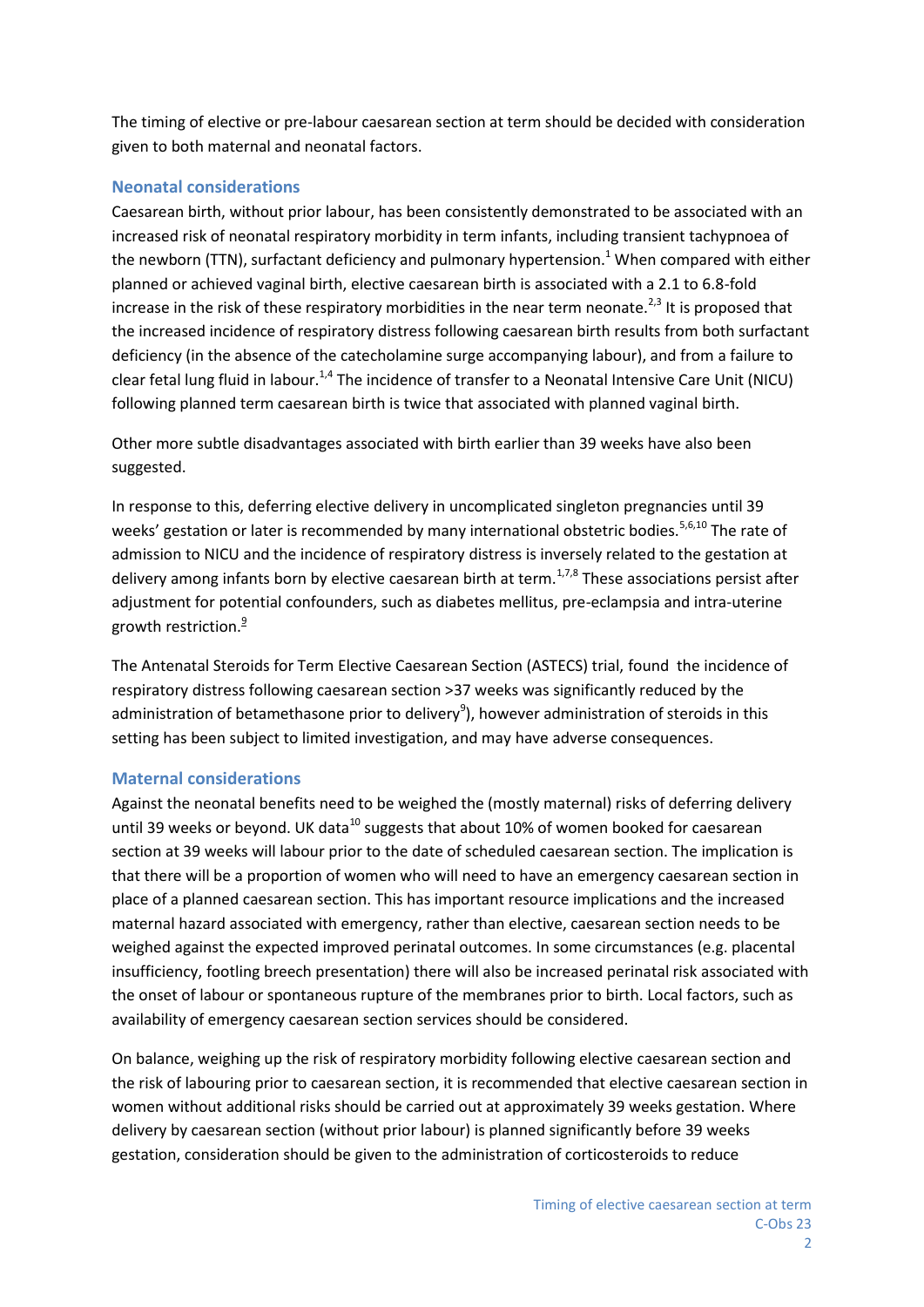The timing of elective or pre-labour caesarean section at term should be decided with consideration given to both maternal and neonatal factors.

# **Neonatal considerations**

Caesarean birth, without prior labour, has been consistently demonstrated to be associated with an increased risk of neonatal respiratory morbidity in term infants, including transient tachypnoea of the newborn (TTN), surfactant deficiency and pulmonary hypertension.<sup>1</sup> When compared with either planned or achieved vaginal birth, elective caesarean birth is associated with a 2.1 to 6.8-fold increase in the risk of these respiratory morbidities in the near term neonate.<sup>2,3</sup> It is proposed that the increased incidence of respiratory distress following caesarean birth results from both surfactant deficiency (in the absence of the catecholamine surge accompanying labour), and from a failure to clear fetal lung fluid in labour.<sup>1,4</sup> The incidence of transfer to a Neonatal Intensive Care Unit (NICU) following planned term caesarean birth is twice that associated with planned vaginal birth.

Other more subtle disadvantages associated with birth earlier than 39 weeks have also been suggested.

In response to this, deferring elective delivery in uncomplicated singleton pregnancies until 39 weeks' gestation or later is recommended by many international obstetric bodies.<sup>5,6,10</sup> The rate of admission to NICU and the incidence of respiratory distress is inversely related to the gestation at delivery among infants born by elective caesarean birth at term.<sup>1,7,8</sup> These associations persist after adjustment for potential confounders, such as diabetes mellitus, pre-eclampsia and intra-uterine growth restriction. $\frac{9}{5}$ 

The Antenatal Steroids for Term Elective Caesarean Section (ASTECS) trial, found the incidence of respiratory distress following caesarean section >37 weeks was significantly reduced by the administration of betamethasone prior to delivery<sup>9</sup>), however administration of steroids in this setting has been subject to limited investigation, and may have adverse consequences.

#### **Maternal considerations**

Against the neonatal benefits need to be weighed the (mostly maternal) risks of deferring delivery until 39 weeks or beyond. UK data $^{10}$  suggests that about 10% of women booked for caesarean section at 39 weeks will labour prior to the date of scheduled caesarean section. The implication is that there will be a proportion of women who will need to have an emergency caesarean section in place of a planned caesarean section. This has important resource implications and the increased maternal hazard associated with emergency, rather than elective, caesarean section needs to be weighed against the expected improved perinatal outcomes. In some circumstances (e.g. placental insufficiency, footling breech presentation) there will also be increased perinatal risk associated with the onset of labour or spontaneous rupture of the membranes prior to birth. Local factors, such as availability of emergency caesarean section services should be considered.

On balance, weighing up the risk of respiratory morbidity following elective caesarean section and the risk of labouring prior to caesarean section, it is recommended that elective caesarean section in women without additional risks should be carried out at approximately 39 weeks gestation. Where delivery by caesarean section (without prior labour) is planned significantly before 39 weeks gestation, consideration should be given to the administration of corticosteroids to reduce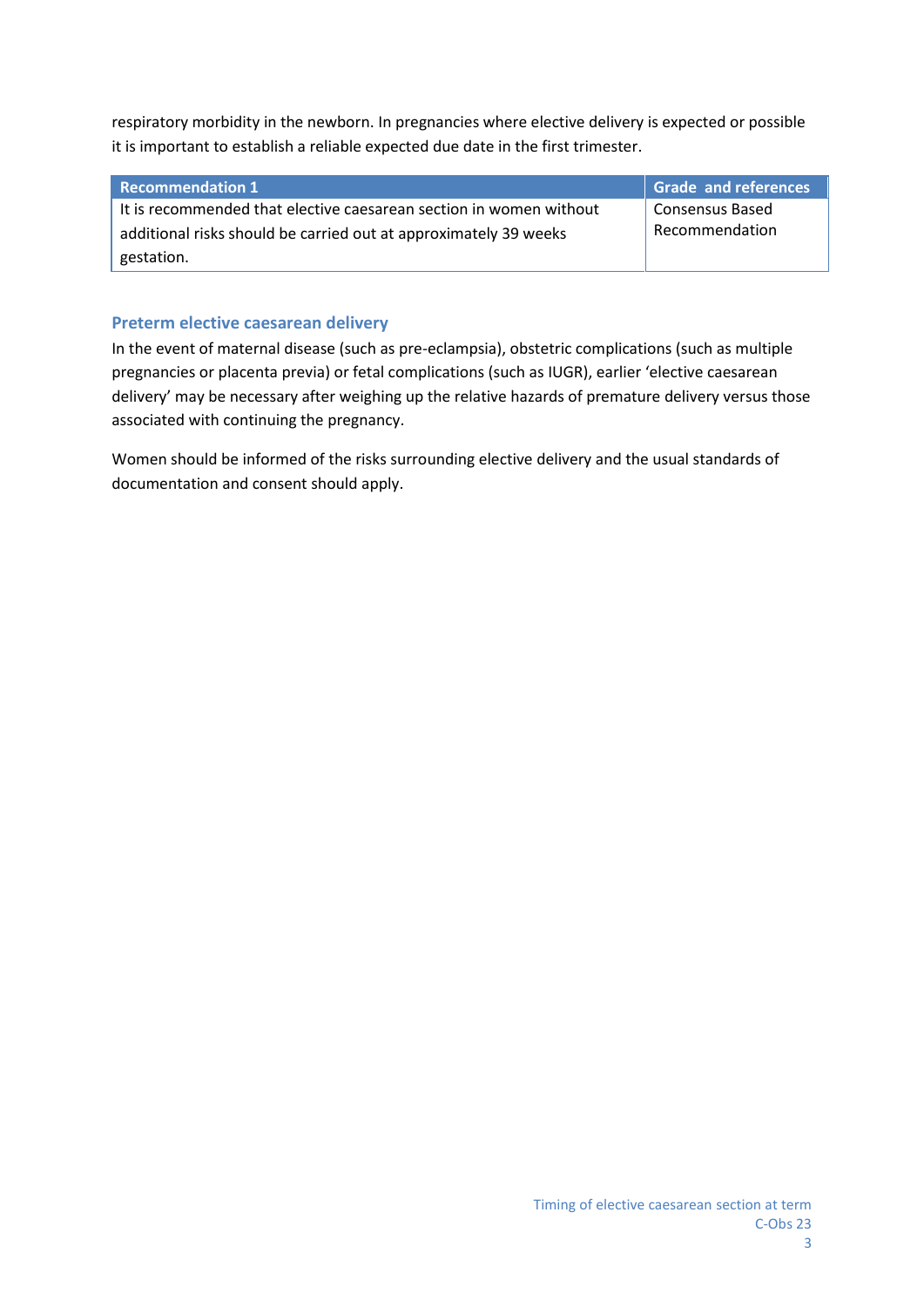respiratory morbidity in the newborn. In pregnancies where elective delivery is expected or possible it is important to establish a reliable expected due date in the first trimester.

| <b>Recommendation 1</b>                                            | <b>Grade and references</b> |
|--------------------------------------------------------------------|-----------------------------|
| It is recommended that elective caesarean section in women without | Consensus Based             |
| additional risks should be carried out at approximately 39 weeks   | Recommendation              |
| gestation.                                                         |                             |

#### **Preterm elective caesarean delivery**

In the event of maternal disease (such as pre-eclampsia), obstetric complications (such as multiple pregnancies or placenta previa) or fetal complications (such as IUGR), earlier 'elective caesarean delivery' may be necessary after weighing up the relative hazards of premature delivery versus those associated with continuing the pregnancy.

Women should be informed of the risks surrounding elective delivery and the usual standards of documentation and consent should apply.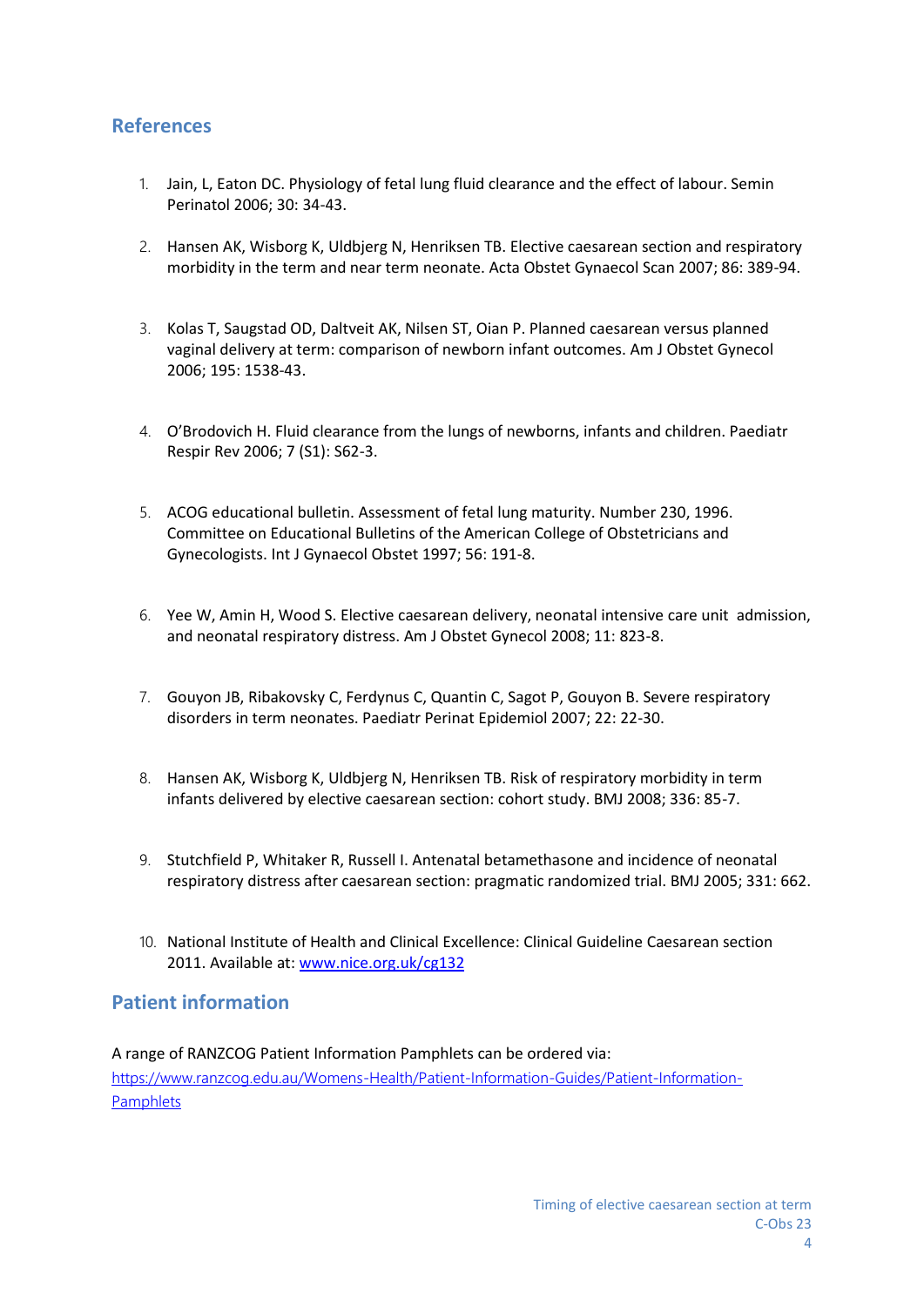# **References**

- 1. Jain, L, Eaton DC. Physiology of fetal lung fluid clearance and the effect of labour. Semin Perinatol 2006; 30: 34-43.
- 2. Hansen AK, Wisborg K, Uldbjerg N, Henriksen TB. Elective caesarean section and respiratory morbidity in the term and near term neonate. Acta Obstet Gynaecol Scan 2007; 86: 389-94.
- 3. Kolas T, Saugstad OD, Daltveit AK, Nilsen ST, Oian P. Planned caesarean versus planned vaginal delivery at term: comparison of newborn infant outcomes. Am J Obstet Gynecol 2006; 195: 1538-43.
- 4. O'Brodovich H. Fluid clearance from the lungs of newborns, infants and children. Paediatr Respir Rev 2006; 7 (S1): S62-3.
- 5. ACOG educational bulletin. Assessment of fetal lung maturity. Number 230, 1996. Committee on Educational Bulletins of the American College of Obstetricians and Gynecologists. Int J Gynaecol Obstet 1997; 56: 191-8.
- 6. Yee W, Amin H, Wood S. Elective caesarean delivery, neonatal intensive care unit admission, and neonatal respiratory distress. Am J Obstet Gynecol 2008; 11: 823-8.
- 7. Gouyon JB, Ribakovsky C, Ferdynus C, Quantin C, Sagot P, Gouyon B. Severe respiratory disorders in term neonates. Paediatr Perinat Epidemiol 2007; 22: 22-30.
- 8. Hansen AK, Wisborg K, Uldbjerg N, Henriksen TB. Risk of respiratory morbidity in term infants delivered by elective caesarean section: cohort study. BMJ 2008; 336: 85-7.
- 9. Stutchfield P, Whitaker R, Russell I. Antenatal betamethasone and incidence of neonatal respiratory distress after caesarean section: pragmatic randomized trial. BMJ 2005; 331: 662.
- 10. National Institute of Health and Clinical Excellence: Clinical Guideline Caesarean section 2011. Available at: www.nice.org.uk/cg132

# **Patient information**

A range of RANZCOG Patient Information Pamphlets can be ordered via: https://www.ranzcog.edu.au/Womens-Health/Patient-Information-Guides/Patient-Information- Pamphlets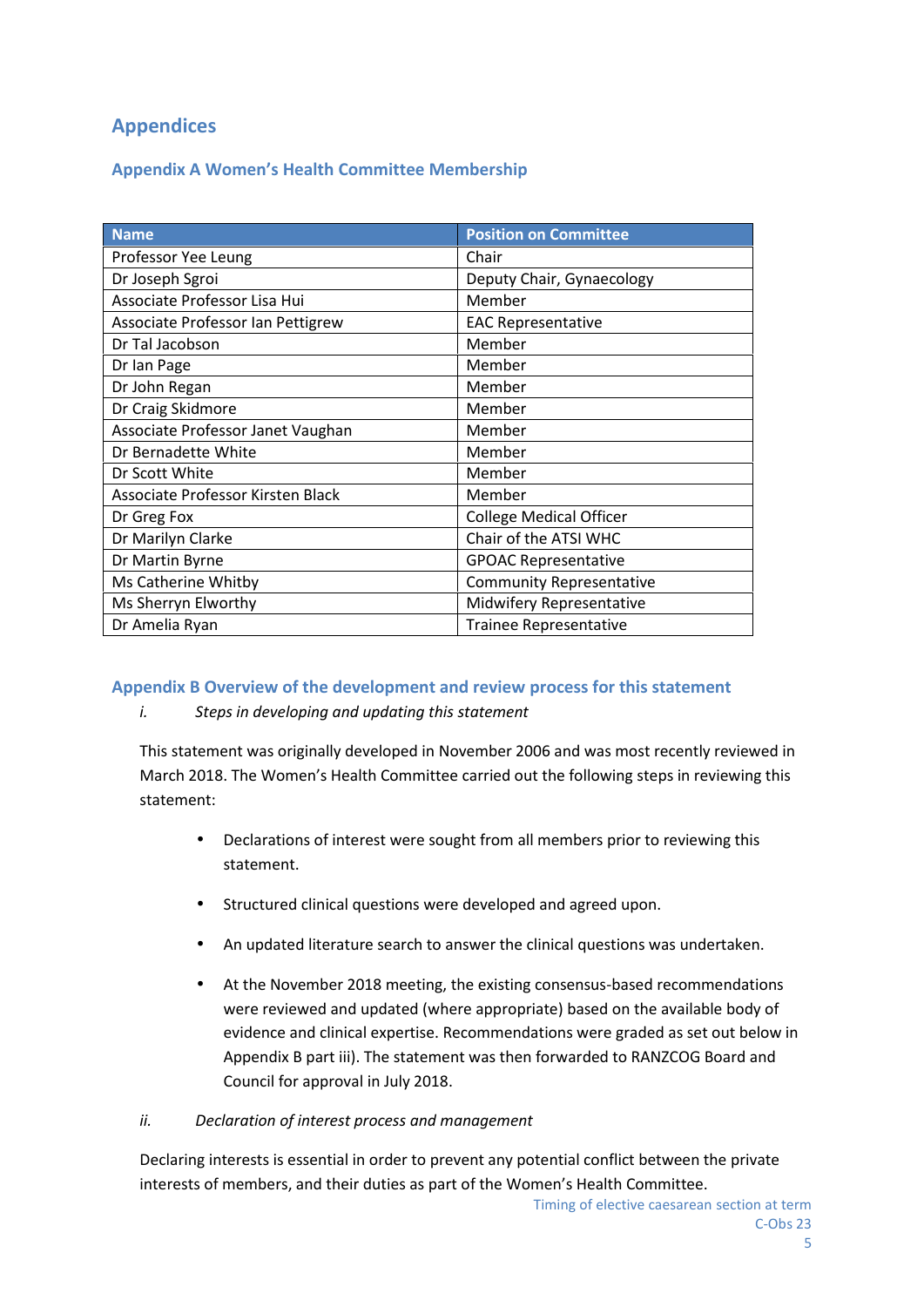# **Appendices**

# **Appendix A Women's Health Committee Membership**

| <b>Name</b>                                     | <b>Position on Committee</b>    |  |
|-------------------------------------------------|---------------------------------|--|
| Professor Yee Leung                             | Chair                           |  |
| Dr Joseph Sgroi                                 | Deputy Chair, Gynaecology       |  |
| Associate Professor Lisa Hui                    | Member                          |  |
| Associate Professor Ian Pettigrew               | <b>EAC Representative</b>       |  |
| Dr Tal Jacobson                                 | Member                          |  |
| Dr Ian Page                                     | Member                          |  |
| Dr John Regan                                   | Member                          |  |
| Dr Craig Skidmore                               | Member                          |  |
| Associate Professor Janet Vaughan               | Member                          |  |
| Dr Bernadette White                             | Member                          |  |
| Dr Scott White                                  | Member                          |  |
| Associate Professor Kirsten Black               | Member                          |  |
| Dr Greg Fox                                     | <b>College Medical Officer</b>  |  |
| Dr Marilyn Clarke                               | Chair of the ATSI WHC           |  |
| Dr Martin Byrne                                 | <b>GPOAC Representative</b>     |  |
| Ms Catherine Whitby                             | <b>Community Representative</b> |  |
| Ms Sherryn Elworthy                             | Midwifery Representative        |  |
| Dr Amelia Ryan<br><b>Trainee Representative</b> |                                 |  |

#### **Appendix B Overview of the development and review process for this statement**

#### *i. Steps in developing and updating this statement*

This statement was originally developed in November 2006 and was most recently reviewed in March 2018. The Women's Health Committee carried out the following steps in reviewing this statement:

- Declarations of interest were sought from all members prior to reviewing this statement.
- Structured clinical questions were developed and agreed upon.
- An updated literature search to answer the clinical questions was undertaken.
- At the November 2018 meeting, the existing consensus-based recommendations were reviewed and updated (where appropriate) based on the available body of evidence and clinical expertise. Recommendations were graded as set out below in Appendix B part iii). The statement was then forwarded to RANZCOG Board and Council for approval in July 2018.

#### *ii. Declaration of interest process and management*

Declaring interests is essential in order to prevent any potential conflict between the private interests of members, and their duties as part of the Women's Health Committee.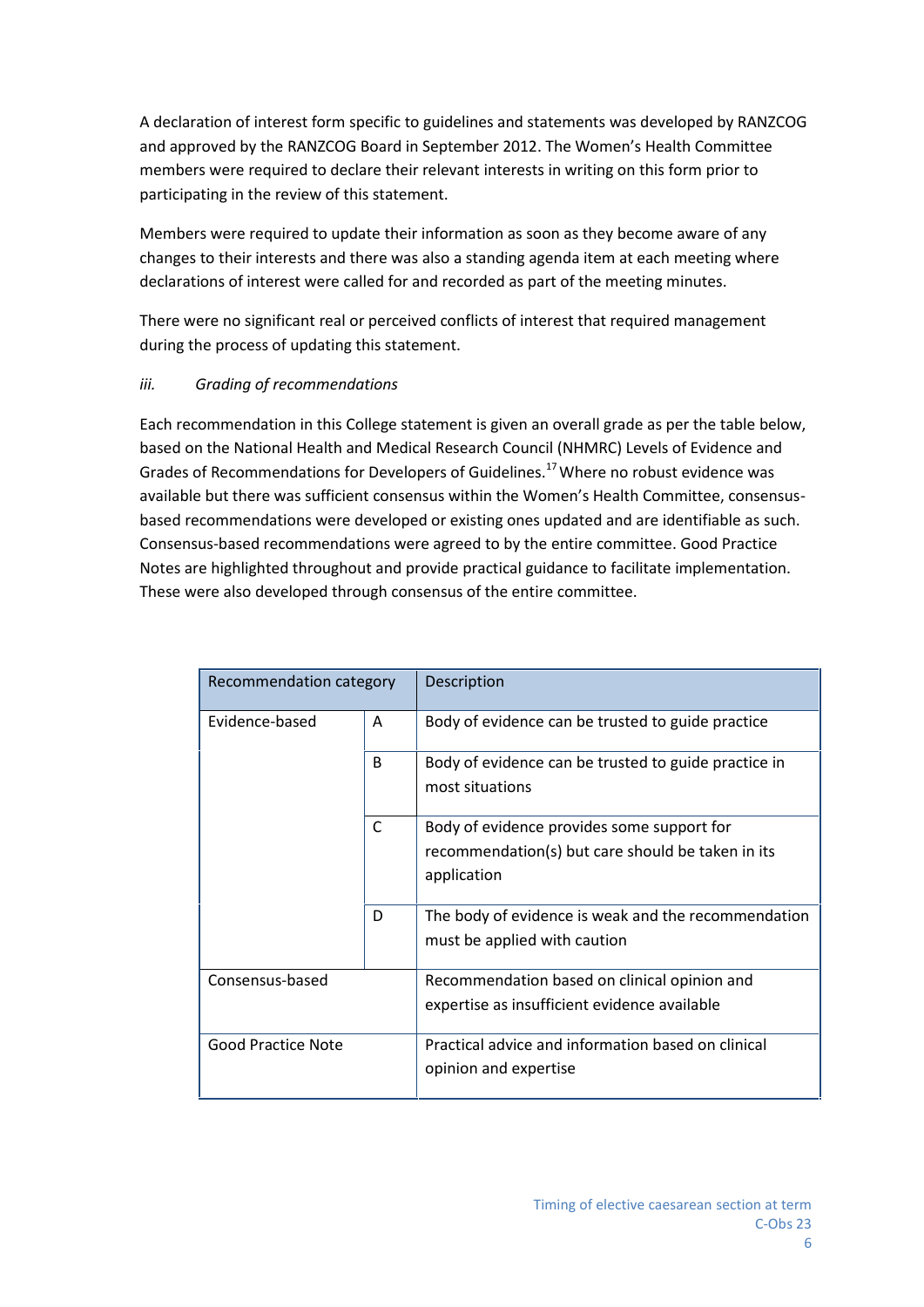A declaration of interest form specific to guidelines and statements was developed by RANZCOG and approved by the RANZCOG Board in September 2012. The Women's Health Committee members were required to declare their relevant interests in writing on this form prior to participating in the review of this statement.

Members were required to update their information as soon as they become aware of any changes to their interests and there was also a standing agenda item at each meeting where declarations of interest were called for and recorded as part of the meeting minutes.

There were no significant real or perceived conflicts of interest that required management during the process of updating this statement.

### *iii. Grading of recommendations*

Each recommendation in this College statement is given an overall grade as per the table below, based on the National Health and Medical Research Council (NHMRC) Levels of Evidence and Grades of Recommendations for Developers of Guidelines.<sup>17</sup>Where no robust evidence was available but there was sufficient consensus within the Women's Health Committee, consensus based recommendations were developed or existing ones updated and are identifiable as such. Consensus-based recommendations were agreed to by the entire committee. Good Practice Notes are highlighted throughout and provide practical guidance to facilitate implementation. These were also developed through consensus of the entire committee.

| Recommendation category   |              | Description                                                                                                    |
|---------------------------|--------------|----------------------------------------------------------------------------------------------------------------|
| Evidence-based            | A            | Body of evidence can be trusted to guide practice                                                              |
|                           | <sub>B</sub> | Body of evidence can be trusted to guide practice in<br>most situations                                        |
|                           | C            | Body of evidence provides some support for<br>recommendation(s) but care should be taken in its<br>application |
|                           | D            | The body of evidence is weak and the recommendation<br>must be applied with caution                            |
| Consensus-based           |              | Recommendation based on clinical opinion and<br>expertise as insufficient evidence available                   |
| <b>Good Practice Note</b> |              | Practical advice and information based on clinical<br>opinion and expertise                                    |